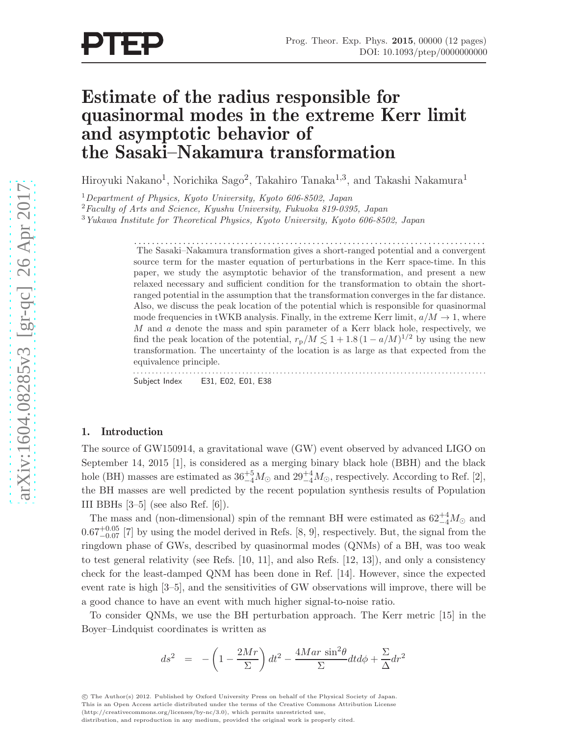# Estimate of the radius responsible for quasinormal modes in the extreme Kerr limit and asymptotic behavior of the Sasaki–Nakamura transformation

Hiroyuki Nakano<sup>1</sup>, Norichika Sago<sup>2</sup>, Takahiro Tanaka<sup>1,3</sup>, and Takashi Nakamura<sup>1</sup>

<sup>1</sup>Department of Physics, Kyoto University, Kyoto 606-8502, Japan

<sup>2</sup>Faculty of Arts and Science, Kyushu University, Fukuoka 819-0395, Japan

<sup>3</sup>Yukawa Institute for Theoretical Physics, Kyoto University, Kyoto 606-8502, Japan

. . . . . . . . . . . . . . . . . . . . . . . . . . . . . . . . . . . . . . . . . . . . . . . . . . . . . . . . . . . . . . . . . . . . . . . . . . . . . . . The Sasaki–Nakamura transformation gives a short-ranged potential and a convergent source term for the master equation of perturbations in the Kerr space-time. In this paper, we study the asymptotic behavior of the transformation, and present a new relaxed necessary and sufficient condition for the transformation to obtain the shortranged potential in the assumption that the transformation converges in the far distance. Also, we discuss the peak location of the potential which is responsible for quasinormal mode frequencies in tWKB analysis. Finally, in the extreme Kerr limit,  $a/M \to 1$ , where M and a denote the mass and spin parameter of a Kerr black hole, respectively, we find the peak location of the potential,  $r_{\rm p}/M \lesssim 1 + 1.8 (1 - a/M)^{1/2}$  by using the new transformation. The uncertainty of the location is as large as that expected from the equivalence principle. . . . . . . . . . . . . . . . . . . . . . . . . . . . . . . . . . . . . . . . . . . . . . . . . . . . . . . . . . . . . . . . . . . . . . . . . . . . . . . . . . . . . . . . . . . . . . .

Subject Index E31, E02, E01, E38

# 1. Introduction

The source of GW150914, a gravitational wave (GW) event observed by advanced LIGO on September 14, 2015 [1], is considered as a merging binary black hole (BBH) and the black hole (BH) masses are estimated as  $36^{+5}_{-4}M_{\odot}$  and  $29^{+4}_{-4}M_{\odot}$ , respectively. According to Ref. [2], the BH masses are well predicted by the recent population synthesis results of Population III BBHs [3–5] (see also Ref. [6]).

The mass and (non-dimensional) spin of the remnant BH were estimated as  $62^{+4}_{-4}M_{\odot}$  and  $0.67^{+0.05}_{-0.07}$  [7] by using the model derived in Refs. [8, 9], respectively. But, the signal from the ringdown phase of GWs, described by quasinormal modes (QNMs) of a BH, was too weak to test general relativity (see Refs. [10, 11], and also Refs. [12, 13]), and only a consistency check for the least-damped QNM has been done in Ref. [14]. However, since the expected event rate is high [3–5], and the sensitivities of GW observations will improve, there will be a good chance to have an event with much higher signal-to-noise ratio.

To consider QNMs, we use the BH perturbation approach. The Kerr metric [15] in the Boyer–Lindquist coordinates is written as

$$
ds^{2} = -\left(1 - \frac{2Mr}{\Sigma}\right)dt^{2} - \frac{4Mar \sin^{2}\theta}{\Sigma}dt d\phi + \frac{\Sigma}{\Delta}dr^{2}
$$

c The Author(s) 2012. Published by Oxford University Press on behalf of the Physical Society of Japan. This is an Open Access article distributed under the terms of the Creative Commons Attribution License (http://creativecommons.org/licenses/by-nc/3.0), which permits unrestricted use, distribution, and reproduction in any medium, provided the original work is properly cited.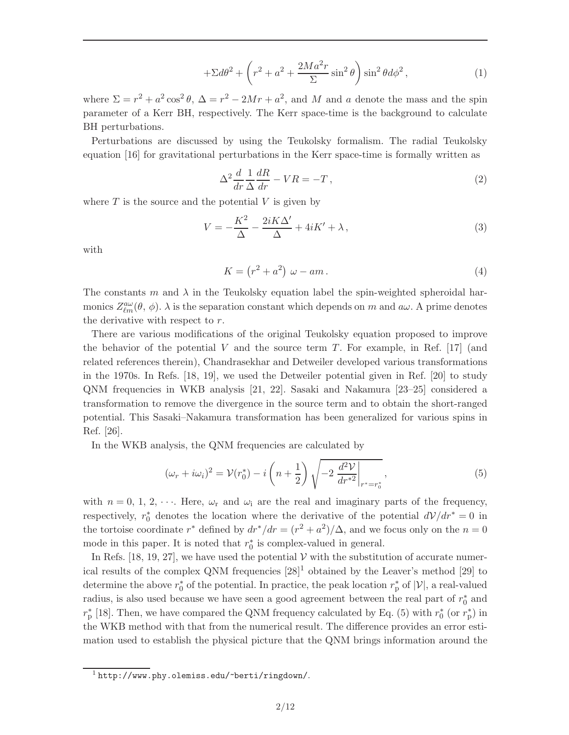$$
+\Sigma d\theta^2 + \left(r^2 + a^2 + \frac{2Ma^2r}{\Sigma}\sin^2\theta\right)\sin^2\theta d\phi^2,
$$
 (1)

where  $\Sigma = r^2 + a^2 \cos^2 \theta$ ,  $\Delta = r^2 - 2Mr + a^2$ , and M and a denote the mass and the spin parameter of a Kerr BH, respectively. The Kerr space-time is the background to calculate BH perturbations.

Perturbations are discussed by using the Teukolsky formalism. The radial Teukolsky equation [16] for gravitational perturbations in the Kerr space-time is formally written as

$$
\Delta^2 \frac{d}{dr} \frac{1}{\Delta} \frac{dR}{dr} - VR = -T,\tag{2}
$$

where  $T$  is the source and the potential  $V$  is given by

$$
V = -\frac{K^2}{\Delta} - \frac{2iK\Delta'}{\Delta} + 4iK' + \lambda, \qquad (3)
$$

with

$$
K = (r^2 + a^2) \omega - am. \tag{4}
$$

The constants m and  $\lambda$  in the Teukolsky equation label the spin-weighted spheroidal harmonics  $Z_{\ell m}^{a\omega}(\theta, \phi)$ .  $\lambda$  is the separation constant which depends on m and  $a\omega$ . A prime denotes the derivative with respect to r.

There are various modifications of the original Teukolsky equation proposed to improve the behavior of the potential V and the source term T. For example, in Ref.  $[17]$  (and related references therein), Chandrasekhar and Detweiler developed various transformations in the 1970s. In Refs. [18, 19], we used the Detweiler potential given in Ref. [20] to study QNM frequencies in WKB analysis [21, 22]. Sasaki and Nakamura [23–25] considered a transformation to remove the divergence in the source term and to obtain the short-ranged potential. This Sasaki–Nakamura transformation has been generalized for various spins in Ref. [26].

In the WKB analysis, the QNM frequencies are calculated by

$$
(\omega_r + i\omega_i)^2 = \mathcal{V}(r_0^*) - i\left(n + \frac{1}{2}\right)\sqrt{-2\left.\frac{d^2\mathcal{V}}{dr^{*2}}\right|_{r^* = r_0^*}},\tag{5}
$$

with  $n = 0, 1, 2, \cdots$ . Here,  $\omega_r$  and  $\omega_i$  are the real and imaginary parts of the frequency, respectively,  $r_0^*$  denotes the location where the derivative of the potential  $dV/dr^* = 0$  in the tortoise coordinate  $r^*$  defined by  $dr^*/dr = (r^2 + a^2)/\Delta$ , and we focus only on the  $n = 0$ mode in this paper. It is noted that  $r_0^*$  is complex-valued in general.

In Refs. [18, 19, 27], we have used the potential  $\mathcal V$  with the substitution of accurate numerical results of the complex QNM frequencies  $[28]^1$  obtained by the Leaver's method  $[29]$  to determine the above  $r_0^*$  of the potential. In practice, the peak location  $r_p^*$  of  $|\mathcal{V}|$ , a real-valued radius, is also used because we have seen a good agreement between the real part of  $r_0^*$  and  $r_{\rm p}^*$  [18]. Then, we have compared the QNM frequency calculated by Eq. (5) with  $r_0^*$  (or  $r_{\rm p}^*$ ) in the WKB method with that from the numerical result. The difference provides an error estimation used to establish the physical picture that the QNM brings information around the

<sup>1</sup> http://www.phy.olemiss.edu/~berti/ringdown/.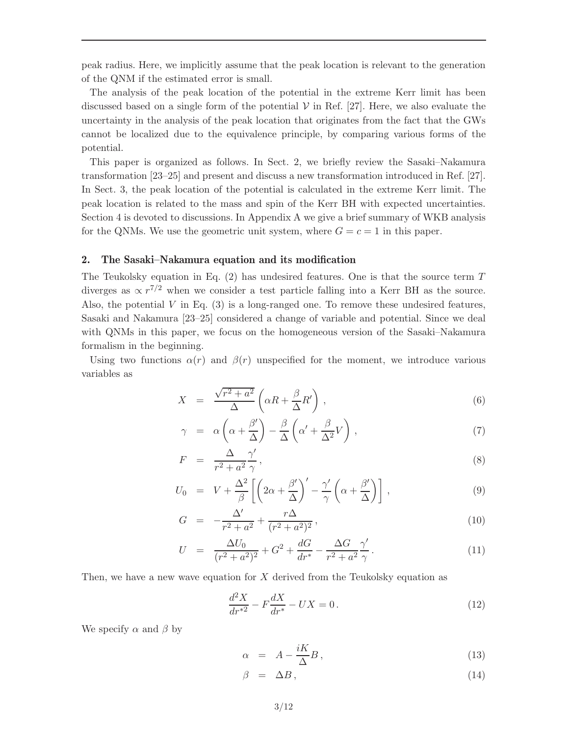peak radius. Here, we implicitly assume that the peak location is relevant to the generation of the QNM if the estimated error is small.

The analysis of the peak location of the potential in the extreme Kerr limit has been discussed based on a single form of the potential  $V$  in Ref. [27]. Here, we also evaluate the uncertainty in the analysis of the peak location that originates from the fact that the GWs cannot be localized due to the equivalence principle, by comparing various forms of the potential.

This paper is organized as follows. In Sect. 2, we briefly review the Sasaki–Nakamura transformation [23–25] and present and discuss a new transformation introduced in Ref. [27]. In Sect. 3, the peak location of the potential is calculated in the extreme Kerr limit. The peak location is related to the mass and spin of the Kerr BH with expected uncertainties. Section 4 is devoted to discussions. In Appendix A we give a brief summary of WKB analysis for the QNMs. We use the geometric unit system, where  $G = c = 1$  in this paper.

# 2. The Sasaki–Nakamura equation and its modification

The Teukolsky equation in Eq. (2) has undesired features. One is that the source term  $T$ diverges as  $\propto r^{7/2}$  when we consider a test particle falling into a Kerr BH as the source. Also, the potential  $V$  in Eq. (3) is a long-ranged one. To remove these undesired features, Sasaki and Nakamura [23–25] considered a change of variable and potential. Since we deal with QNMs in this paper, we focus on the homogeneous version of the Sasaki–Nakamura formalism in the beginning.

Using two functions  $\alpha(r)$  and  $\beta(r)$  unspecified for the moment, we introduce various variables as

$$
X = \frac{\sqrt{r^2 + a^2}}{\Delta} \left( \alpha R + \frac{\beta}{\Delta} R' \right) , \qquad (6)
$$

$$
\gamma = \alpha \left( \alpha + \frac{\beta'}{\Delta} \right) - \frac{\beta}{\Delta} \left( \alpha' + \frac{\beta}{\Delta^2} V \right),\tag{7}
$$

$$
F = \frac{\Delta}{r^2 + a^2} \frac{\gamma'}{\gamma},\tag{8}
$$

$$
U_0 = V + \frac{\Delta^2}{\beta} \left[ \left( 2\alpha + \frac{\beta'}{\Delta} \right)' - \frac{\gamma'}{\gamma} \left( \alpha + \frac{\beta'}{\Delta} \right) \right],
$$
 (9)

$$
G = -\frac{\Delta'}{r^2 + a^2} + \frac{r\Delta}{(r^2 + a^2)^2},\tag{10}
$$

$$
U = \frac{\Delta U_0}{(r^2 + a^2)^2} + G^2 + \frac{dG}{dr^*} - \frac{\Delta G}{r^2 + a^2} \frac{\gamma'}{\gamma}.
$$
\n(11)

Then, we have a new wave equation for  $X$  derived from the Teukolsky equation as

$$
\frac{d^2X}{dr^{*2}} - F\frac{dX}{dr^*} - UX = 0.
$$
\n(12)

We specify  $\alpha$  and  $\beta$  by

$$
\alpha = A - \frac{iK}{\Delta}B,\tag{13}
$$

$$
\beta = \Delta B, \tag{14}
$$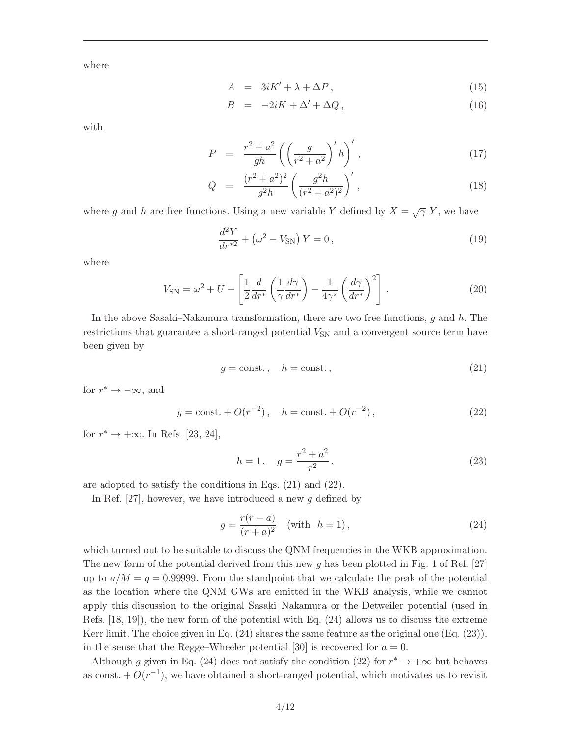where

$$
A = 3iK' + \lambda + \Delta P, \qquad (15)
$$

$$
B = -2iK + \Delta' + \Delta Q, \qquad (16)
$$

with

$$
P = \frac{r^2 + a^2}{gh} \left( \left( \frac{g}{r^2 + a^2} \right)' h \right)', \tag{17}
$$

$$
Q = \frac{(r^2 + a^2)^2}{g^2 h} \left( \frac{g^2 h}{(r^2 + a^2)^2} \right)',
$$
\n(18)

where g and h are free functions. Using a new variable Y defined by  $X = \sqrt{\gamma} Y$ , we have

$$
\frac{d^2Y}{dr^{*2}} + \left(\omega^2 - V_{\rm SN}\right)Y = 0\,,\tag{19}
$$

where

$$
V_{\rm SN} = \omega^2 + U - \left[ \frac{1}{2} \frac{d}{dr^*} \left( \frac{1}{\gamma} \frac{d\gamma}{dr^*} \right) - \frac{1}{4\gamma^2} \left( \frac{d\gamma}{dr^*} \right)^2 \right].
$$
 (20)

In the above Sasaki–Nakamura transformation, there are two free functions,  $g$  and  $h$ . The restrictions that guarantee a short-ranged potential  $V_{SN}$  and a convergent source term have been given by

$$
g = \text{const.}, \quad h = \text{const.}, \tag{21}
$$

for  $r^* \to -\infty$ , and

$$
g = \text{const.} + O(r^{-2}), \quad h = \text{const.} + O(r^{-2}),
$$
 (22)

for  $r^* \to +\infty$ . In Refs. [23, 24],

$$
h = 1, \quad g = \frac{r^2 + a^2}{r^2},\tag{23}
$$

are adopted to satisfy the conditions in Eqs. (21) and (22).

In Ref. [27], however, we have introduced a new  $g$  defined by

$$
g = \frac{r(r-a)}{(r+a)^2} \quad \text{(with } h = 1), \tag{24}
$$

which turned out to be suitable to discuss the QNM frequencies in the WKB approximation. The new form of the potential derived from this new g has been plotted in Fig. 1 of Ref. [27] up to  $a/M = q = 0.99999$ . From the standpoint that we calculate the peak of the potential as the location where the QNM GWs are emitted in the WKB analysis, while we cannot apply this discussion to the original Sasaki–Nakamura or the Detweiler potential (used in Refs. [18, 19]), the new form of the potential with Eq. (24) allows us to discuss the extreme Kerr limit. The choice given in Eq.  $(24)$  shares the same feature as the original one (Eq.  $(23)$ ), in the sense that the Regge–Wheeler potential [30] is recovered for  $a = 0$ .

Although g given in Eq. (24) does not satisfy the condition (22) for  $r^* \to +\infty$  but behaves as const.  $+ O(r^{-1})$ , we have obtained a short-ranged potential, which motivates us to revisit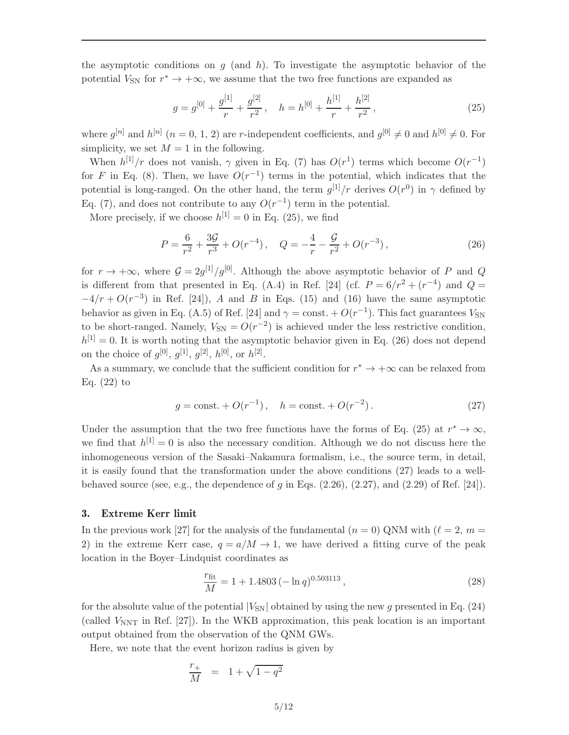the asymptotic conditions on  $q$  (and  $h$ ). To investigate the asymptotic behavior of the potential  $V_{\rm SN}$  for  $r^* \to +\infty$ , we assume that the two free functions are expanded as

$$
g = g^{[0]} + \frac{g^{[1]}}{r} + \frac{g^{[2]}}{r^2}, \quad h = h^{[0]} + \frac{h^{[1]}}{r} + \frac{h^{[2]}}{r^2},
$$
\n(25)

where  $g^{[n]}$  and  $h^{[n]}$   $(n = 0, 1, 2)$  are r-independent coefficients, and  $g^{[0]} \neq 0$  and  $h^{[0]} \neq 0$ . For simplicity, we set  $M = 1$  in the following.

When  $h^{[1]}/r$  does not vanish,  $\gamma$  given in Eq. (7) has  $O(r^1)$  terms which become  $O(r^{-1})$ for F in Eq. (8). Then, we have  $O(r^{-1})$  terms in the potential, which indicates that the potential is long-ranged. On the other hand, the term  $g^{[1]}/r$  derives  $O(r^0)$  in  $\gamma$  defined by Eq. (7), and does not contribute to any  $O(r^{-1})$  term in the potential.

More precisely, if we choose  $h^{[1]} = 0$  in Eq. (25), we find

$$
P = \frac{6}{r^2} + \frac{3\mathcal{G}}{r^3} + O(r^{-4}), \quad Q = -\frac{4}{r} - \frac{\mathcal{G}}{r^2} + O(r^{-3}), \tag{26}
$$

for  $r \to +\infty$ , where  $\mathcal{G} = 2g^{[1]}/g^{[0]}$ . Although the above asymptotic behavior of P and Q is different from that presented in Eq. (A.4) in Ref. [24] (cf.  $P = 6/r^2 + (r^{-4})$  and  $Q =$  $-4/r + O(r^{-3})$  in Ref. [24]), A and B in Eqs. (15) and (16) have the same asymptotic behavior as given in Eq. (A.5) of Ref. [24] and  $\gamma = \text{const.} + O(r^{-1})$ . This fact guarantees  $V_{SN}$ to be short-ranged. Namely,  $V_{SN} = O(r^{-2})$  is achieved under the less restrictive condition,  $h^{[1]} = 0$ . It is worth noting that the asymptotic behavior given in Eq. (26) does not depend on the choice of  $g^{[0]}$ ,  $g^{[1]}$ ,  $g^{[2]}$ ,  $h^{[0]}$ , or  $h^{[2]}$ .

As a summary, we conclude that the sufficient condition for  $r^* \to +\infty$  can be relaxed from Eq.  $(22)$  to

$$
g = \text{const.} + O(r^{-1}), \quad h = \text{const.} + O(r^{-2}).
$$
 (27)

Under the assumption that the two free functions have the forms of Eq. (25) at  $r^* \to \infty$ , we find that  $h^{[1]} = 0$  is also the necessary condition. Although we do not discuss here the inhomogeneous version of the Sasaki–Nakamura formalism, i.e., the source term, in detail, it is easily found that the transformation under the above conditions (27) leads to a wellbehaved source (see, e.g., the dependence of g in Eqs.  $(2.26)$ ,  $(2.27)$ , and  $(2.29)$  of Ref. [24]).

## 3. Extreme Kerr limit

In the previous work [27] for the analysis of the fundamental  $(n = 0)$  QNM with  $(\ell = 2, m =$ 2) in the extreme Kerr case,  $q = a/M \rightarrow 1$ , we have derived a fitting curve of the peak location in the Boyer–Lindquist coordinates as

$$
\frac{r_{\text{fit}}}{M} = 1 + 1.4803 \left( -\ln q \right)^{0.503113},\tag{28}
$$

for the absolute value of the potential  $|V_{SN}|$  obtained by using the new g presented in Eq. (24) (called  $V_{\text{NNT}}$  in Ref. [27]). In the WKB approximation, this peak location is an important output obtained from the observation of the QNM GWs.

Here, we note that the event horizon radius is given by

$$
\frac{r_+}{M} = 1 + \sqrt{1 - q^2}
$$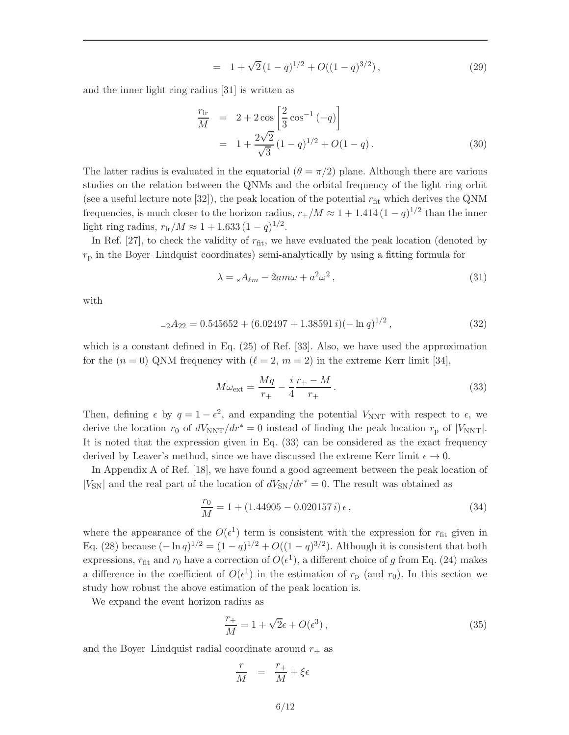$$
= 1 + \sqrt{2} (1 - q)^{1/2} + O((1 - q)^{3/2}), \qquad (29)
$$

and the inner light ring radius [31] is written as

$$
\frac{r_{\rm lr}}{M} = 2 + 2\cos\left[\frac{2}{3}\cos^{-1}(-q)\right]
$$
  
=  $1 + \frac{2\sqrt{2}}{\sqrt{3}}(1-q)^{1/2} + O(1-q).$  (30)

The latter radius is evaluated in the equatorial  $(\theta = \pi/2)$  plane. Although there are various studies on the relation between the QNMs and the orbital frequency of the light ring orbit (see a useful lecture note [32]), the peak location of the potential  $r_{\text{fit}}$  which derives the QNM frequencies, is much closer to the horizon radius,  $r_{+}/M \approx 1 + 1.414 (1 - q)^{1/2}$  than the inner light ring radius,  $r_{\text{lr}}/M \approx 1 + 1.633 (1 - q)^{1/2}$ .

In Ref. [27], to check the validity of  $r_{\text{fit}}$ , we have evaluated the peak location (denoted by  $r_{\rm p}$  in the Boyer–Lindquist coordinates) semi-analytically by using a fitting formula for

$$
\lambda = {}_{s}A_{\ell m} - 2am\omega + a^{2}\omega^{2}, \qquad (31)
$$

with

$$
{}_{-2}A_{22} = 0.545652 + (6.02497 + 1.38591 i)(- \ln q)^{1/2},
$$
\n(32)

which is a constant defined in Eq. (25) of Ref. [33]. Also, we have used the approximation for the  $(n = 0)$  QNM frequency with  $(\ell = 2, m = 2)$  in the extreme Kerr limit [34],

$$
M\omega_{\text{ext}} = \frac{Mq}{r_+} - \frac{i}{4}\frac{r_+ - M}{r_+}.
$$
\n(33)

Then, defining  $\epsilon$  by  $q = 1 - \epsilon^2$ , and expanding the potential  $V_{\text{NNT}}$  with respect to  $\epsilon$ , we derive the location  $r_0$  of  $dV_{\text{NNT}}/dr^* = 0$  instead of finding the peak location  $r_p$  of  $|V_{\text{NNT}}|$ . It is noted that the expression given in Eq. (33) can be considered as the exact frequency derived by Leaver's method, since we have discussed the extreme Kerr limit  $\epsilon \to 0$ .

In Appendix A of Ref. [18], we have found a good agreement between the peak location of  $|V_{\rm SN}|$  and the real part of the location of  $dV_{\rm SN}/dr^* = 0$ . The result was obtained as

$$
\frac{r_0}{M} = 1 + (1.44905 - 0.020157 i) \epsilon, \qquad (34)
$$

where the appearance of the  $O(\epsilon^1)$  term is consistent with the expression for  $r_{\text{fit}}$  given in Eq. (28) because  $(-\ln q)^{1/2} = (1 - q)^{1/2} + O((1 - q)^{3/2})$ . Although it is consistent that both expressions,  $r_{\text{fit}}$  and  $r_0$  have a correction of  $O(\epsilon^1)$ , a different choice of g from Eq. (24) makes a difference in the coefficient of  $O(\epsilon^1)$  in the estimation of  $r_p$  (and  $r_0$ ). In this section we study how robust the above estimation of the peak location is.

We expand the event horizon radius as

$$
\frac{r_+}{M} = 1 + \sqrt{2}\epsilon + O(\epsilon^3),\tag{35}
$$

and the Boyer–Lindquist radial coordinate around  $r_{+}$  as

$$
\frac{r}{M} = \frac{r_+}{M} + \xi \epsilon
$$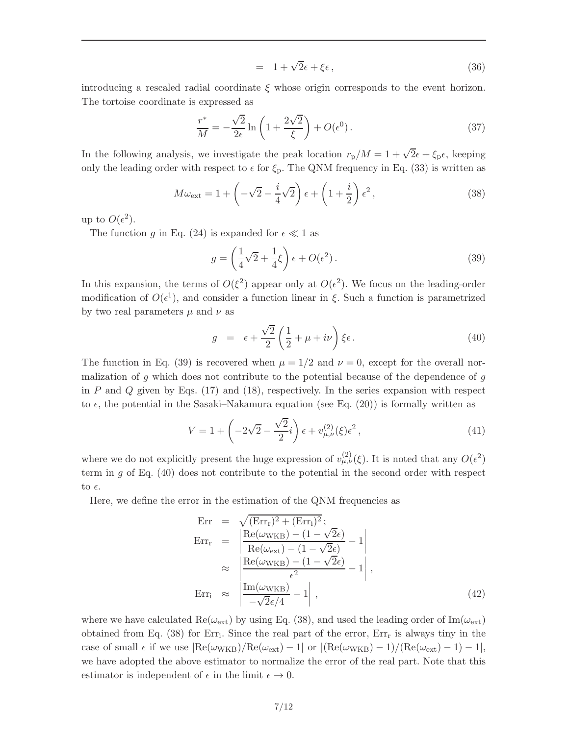$$
= 1 + \sqrt{2}\epsilon + \xi\epsilon, \qquad (36)
$$

introducing a rescaled radial coordinate  $\xi$  whose origin corresponds to the event horizon. The tortoise coordinate is expressed as

$$
\frac{r^*}{M} = -\frac{\sqrt{2}}{2\epsilon} \ln\left(1 + \frac{2\sqrt{2}}{\xi}\right) + O(\epsilon^0). \tag{37}
$$

In the following analysis, we investigate the peak location  $r_{\rm p}/M = 1 + \sqrt{2}\epsilon + \xi_{\rm p}\epsilon$ , keeping only the leading order with respect to  $\epsilon$  for  $\xi_{p}$ . The QNM frequency in Eq. (33) is written as

$$
M\omega_{\text{ext}} = 1 + \left(-\sqrt{2} - \frac{i}{4}\sqrt{2}\right)\epsilon + \left(1 + \frac{i}{2}\right)\epsilon^2,\tag{38}
$$

up to  $O(\epsilon^2)$ .

The function g in Eq. (24) is expanded for  $\epsilon \ll 1$  as

$$
g = \left(\frac{1}{4}\sqrt{2} + \frac{1}{4}\xi\right)\epsilon + O(\epsilon^2). \tag{39}
$$

In this expansion, the terms of  $O(\xi^2)$  appear only at  $O(\epsilon^2)$ . We focus on the leading-order modification of  $O(\epsilon^1)$ , and consider a function linear in ξ. Such a function is parametrized by two real parameters  $\mu$  and  $\nu$  as

$$
g = \epsilon + \frac{\sqrt{2}}{2} \left( \frac{1}{2} + \mu + i\nu \right) \xi \epsilon.
$$
 (40)

The function in Eq. (39) is recovered when  $\mu = 1/2$  and  $\nu = 0$ , except for the overall normalization of  $g$  which does not contribute to the potential because of the dependence of  $g$ in P and Q given by Eqs.  $(17)$  and  $(18)$ , respectively. In the series expansion with respect to  $\epsilon$ , the potential in the Sasaki–Nakamura equation (see Eq. (20)) is formally written as

$$
V = 1 + \left(-2\sqrt{2} - \frac{\sqrt{2}}{2}i\right)\epsilon + v_{\mu,\nu}^{(2)}(\xi)\epsilon^2,
$$
\n(41)

where we do not explicitly present the huge expression of  $v_{\mu,\nu}^{(2)}(\xi)$ . It is noted that any  $O(\epsilon^2)$ term in  $q$  of Eq. (40) does not contribute to the potential in the second order with respect to  $\epsilon$ .

Here, we define the error in the estimation of the QNM frequencies as

$$
\begin{aligned}\n\text{Err} &= \sqrt{(\text{Err}_{r})^2 + (\text{Err}_{i})^2}; \\
\text{Err}_{r} &= \left| \frac{\text{Re}(\omega_{\text{WKB}}) - (1 - \sqrt{2}\epsilon)}{\text{Re}(\omega_{\text{ext}}) - (1 - \sqrt{2}\epsilon)} - 1 \right| \\
&\approx \left| \frac{\text{Re}(\omega_{\text{WKB}}) - (1 - \sqrt{2}\epsilon)}{\epsilon^2} - 1 \right|, \\
\text{Err}_{i} &\approx \left| \frac{\text{Im}(\omega_{\text{WKB}})}{-\sqrt{2}\epsilon/4} - 1 \right|,\n\end{aligned} \tag{42}
$$

where we have calculated  $\text{Re}(\omega_{\text{ext}})$  by using Eq. (38), and used the leading order of Im( $\omega_{\text{ext}}$ ) obtained from Eq.  $(38)$  for Err<sub>i</sub>. Since the real part of the error, Err<sub>r</sub> is always tiny in the case of small  $\epsilon$  if we use  $|Re(\omega_{WKB})/Re(\omega_{ext}) - 1|$  or  $|(Re(\omega_{WKB}) - 1)/(Re(\omega_{ext}) - 1) - 1|$ , we have adopted the above estimator to normalize the error of the real part. Note that this estimator is independent of  $\epsilon$  in the limit  $\epsilon \to 0$ .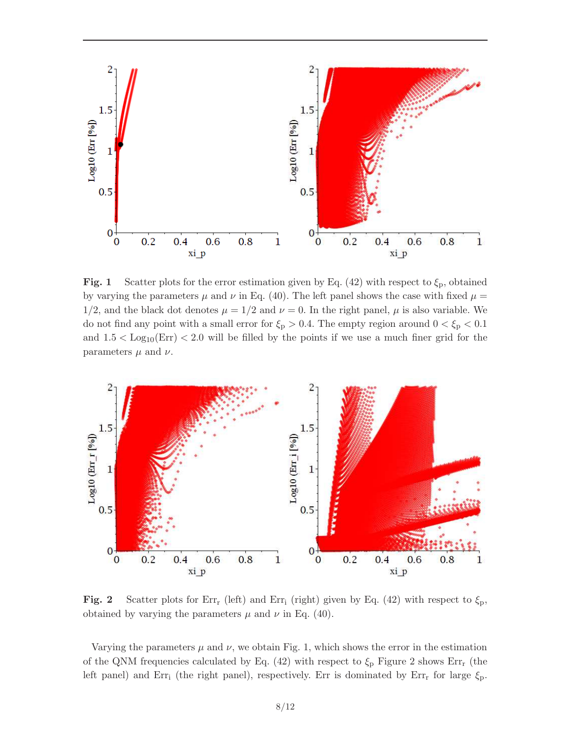

Fig. 1 Scatter plots for the error estimation given by Eq. (42) with respect to  $\xi_{\rm p}$ , obtained by varying the parameters  $\mu$  and  $\nu$  in Eq. (40). The left panel shows the case with fixed  $\mu =$ 1/2, and the black dot denotes  $\mu = 1/2$  and  $\nu = 0$ . In the right panel,  $\mu$  is also variable. We do not find any point with a small error for  $\xi_{\rm p} > 0.4$ . The empty region around  $0 < \xi_{\rm p} < 0.1$ and  $1.5 <$  Log<sub>10</sub>(Err)  $<$  2.0 will be filled by the points if we use a much finer grid for the parameters  $\mu$  and  $\nu$ .



Fig. 2 Scatter plots for Err<sub>r</sub> (left) and Err<sub>i</sub> (right) given by Eq. (42) with respect to  $\xi_p$ , obtained by varying the parameters  $\mu$  and  $\nu$  in Eq. (40).

Varying the parameters  $\mu$  and  $\nu$ , we obtain Fig. 1, which shows the error in the estimation of the QNM frequencies calculated by Eq. (42) with respect to  $\xi_{\rm p}$  Figure 2 shows Err<sub>r</sub> (the left panel) and Err<sub>i</sub> (the right panel), respectively. Err is dominated by Err<sub>r</sub> for large  $\xi_{\rm p}$ .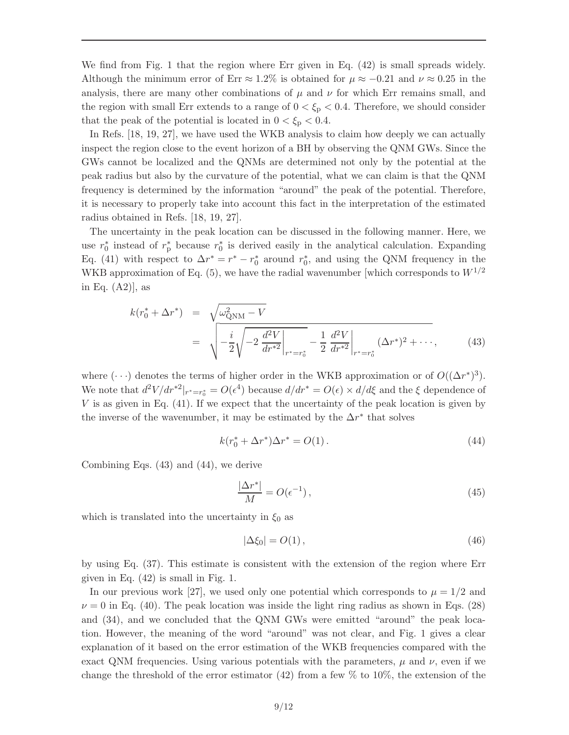We find from Fig. 1 that the region where Err given in Eq.  $(42)$  is small spreads widely. Although the minimum error of Err  $\approx 1.2\%$  is obtained for  $\mu \approx -0.21$  and  $\nu \approx 0.25$  in the analysis, there are many other combinations of  $\mu$  and  $\nu$  for which Err remains small, and the region with small Err extends to a range of  $0 < \xi_{\rm p} < 0.4$ . Therefore, we should consider that the peak of the potential is located in  $0 < \xi_{\rm p} < 0.4$ .

In Refs. [18, 19, 27], we have used the WKB analysis to claim how deeply we can actually inspect the region close to the event horizon of a BH by observing the QNM GWs. Since the GWs cannot be localized and the QNMs are determined not only by the potential at the peak radius but also by the curvature of the potential, what we can claim is that the QNM frequency is determined by the information "around" the peak of the potential. Therefore, it is necessary to properly take into account this fact in the interpretation of the estimated radius obtained in Refs. [18, 19, 27].

The uncertainty in the peak location can be discussed in the following manner. Here, we use  $r_0^*$  instead of  $r_p^*$  because  $r_0^*$  is derived easily in the analytical calculation. Expanding Eq. (41) with respect to  $\Delta r^* = r^* - r_0^*$  around  $r_0^*$ , and using the QNM frequency in the WKB approximation of Eq. (5), we have the radial wavenumber [which corresponds to  $W^{1/2}$ in Eq. (A2)], as

$$
k(r_0^* + \Delta r^*) = \sqrt{\omega_{\text{QNM}}^2 - V}
$$
  
= 
$$
\sqrt{-\frac{i}{2}\sqrt{-2\frac{d^2V}{dr^*2}}\Big|_{r^* = r_0^*} - \frac{1}{2}\frac{d^2V}{dr^*2}\Big|_{r^* = r_0^*} (\Delta r^*)^2 + \cdots},
$$
 (43)

where  $(\cdot \cdot \cdot)$  denotes the terms of higher order in the WKB approximation or of  $O((\Delta r^*)^3)$ . We note that  $d^2V/dr^{*2}|_{r^*=r_0^*}=O(\epsilon^4)$  because  $d/dr^*=O(\epsilon)\times d/d\xi$  and the  $\xi$  dependence of V is as given in Eq.  $(41)$ . If we expect that the uncertainty of the peak location is given by the inverse of the wavenumber, it may be estimated by the  $\Delta r^*$  that solves

$$
k(r_0^* + \Delta r^*) \Delta r^* = O(1).
$$
\n(44)

Combining Eqs. (43) and (44), we derive

$$
\frac{|\Delta r^*|}{M} = O(\epsilon^{-1}),\tag{45}
$$

which is translated into the uncertainty in  $\xi_0$  as

$$
|\Delta \xi_0| = O(1), \tag{46}
$$

by using Eq. (37). This estimate is consistent with the extension of the region where Err given in Eq.  $(42)$  is small in Fig. 1.

In our previous work [27], we used only one potential which corresponds to  $\mu = 1/2$  and  $\nu = 0$  in Eq. (40). The peak location was inside the light ring radius as shown in Eqs. (28) and (34), and we concluded that the QNM GWs were emitted "around" the peak location. However, the meaning of the word "around" was not clear, and Fig. 1 gives a clear explanation of it based on the error estimation of the WKB frequencies compared with the exact QNM frequencies. Using various potentials with the parameters,  $\mu$  and  $\nu$ , even if we change the threshold of the error estimator  $(42)$  from a few  $%$  to 10%, the extension of the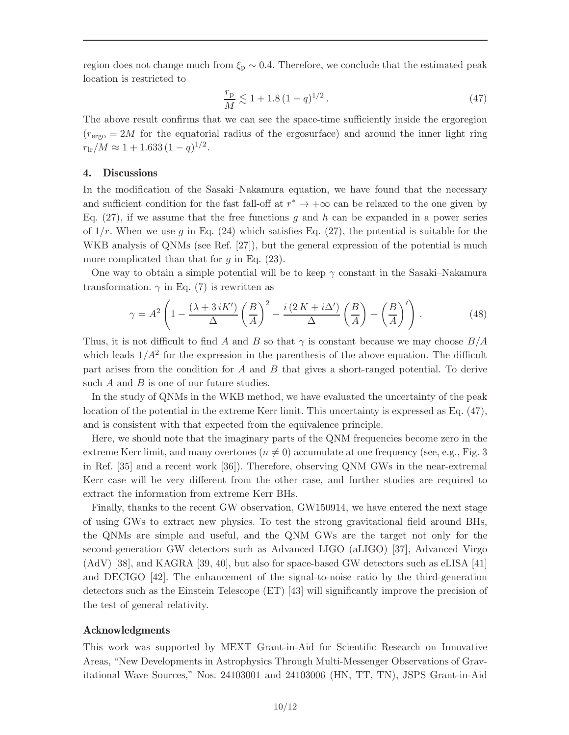region does not change much from  $\xi_{\rm p} \sim 0.4$ . Therefore, we conclude that the estimated peak location is restricted to

$$
\frac{r_{\rm p}}{M} \lesssim 1 + 1.8 \left(1 - q\right)^{1/2}.
$$
\n(47)

The above result confirms that we can see the space-time sufficiently inside the ergoregion  $(r_{\text{ergo}} = 2M)$  for the equatorial radius of the ergosurface) and around the inner light ring  $r_{\text{lr}}/M \approx 1 + 1.633 (1 - q)^{1/2}.$ 

# 4. Discussions

In the modification of the Sasaki–Nakamura equation, we have found that the necessary and sufficient condition for the fast fall-off at  $r^* \to +\infty$  can be relaxed to the one given by Eq. (27), if we assume that the free functions g and h can be expanded in a power series of  $1/r$ . When we use g in Eq. (24) which satisfies Eq. (27), the potential is suitable for the WKB analysis of QNMs (see Ref. [27]), but the general expression of the potential is much more complicated than that for  $g$  in Eq. (23).

One way to obtain a simple potential will be to keep  $\gamma$  constant in the Sasaki–Nakamura transformation.  $\gamma$  in Eq. (7) is rewritten as

$$
\gamma = A^2 \left( 1 - \frac{(\lambda + 3iK')}{\Delta} \left( \frac{B}{A} \right)^2 - \frac{i(2K + i\Delta')}{\Delta} \left( \frac{B}{A} \right) + \left( \frac{B}{A} \right)' \right). \tag{48}
$$

Thus, it is not difficult to find A and B so that  $\gamma$  is constant because we may choose  $B/A$ which leads  $1/A<sup>2</sup>$  for the expression in the parenthesis of the above equation. The difficult part arises from the condition for  $A$  and  $B$  that gives a short-ranged potential. To derive such  $A$  and  $B$  is one of our future studies.

In the study of QNMs in the WKB method, we have evaluated the uncertainty of the peak location of the potential in the extreme Kerr limit. This uncertainty is expressed as Eq. (47), and is consistent with that expected from the equivalence principle.

Here, we should note that the imaginary parts of the QNM frequencies become zero in the extreme Kerr limit, and many overtones ( $n \neq 0$ ) accumulate at one frequency (see, e.g., Fig. 3 in Ref. [35] and a recent work [36]). Therefore, observing QNM GWs in the near-extremal Kerr case will be very different from the other case, and further studies are required to extract the information from extreme Kerr BHs.

Finally, thanks to the recent GW observation, GW150914, we have entered the next stage of using GWs to extract new physics. To test the strong gravitational field around BHs, the QNMs are simple and useful, and the QNM GWs are the target not only for the second-generation GW detectors such as Advanced LIGO (aLIGO) [37], Advanced Virgo (AdV) [38], and KAGRA [39, 40], but also for space-based GW detectors such as eLISA [41] and DECIGO [42]. The enhancement of the signal-to-noise ratio by the third-generation detectors such as the Einstein Telescope (ET) [43] will significantly improve the precision of the test of general relativity.

## Acknowledgments

This work was supported by MEXT Grant-in-Aid for Scientific Research on Innovative Areas, "New Developments in Astrophysics Through Multi-Messenger Observations of Gravitational Wave Sources," Nos. 24103001 and 24103006 (HN, TT, TN), JSPS Grant-in-Aid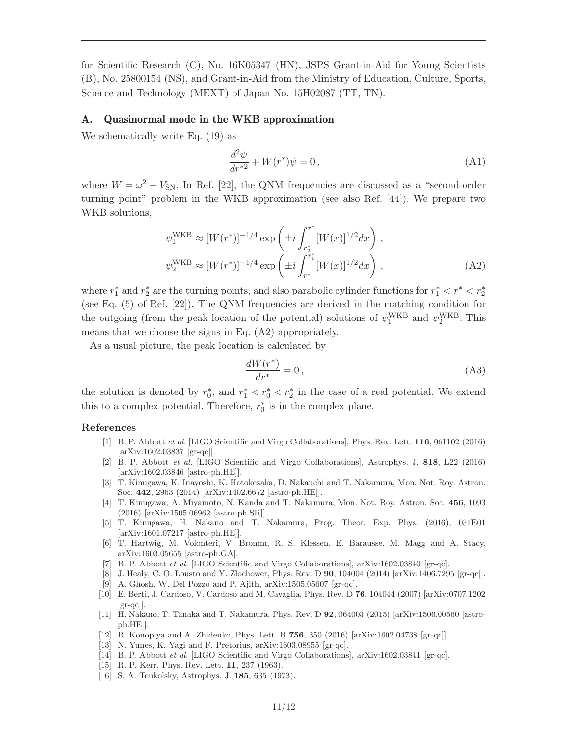for Scientific Research (C), No. 16K05347 (HN), JSPS Grant-in-Aid for Young Scientists (B), No. 25800154 (NS), and Grant-in-Aid from the Ministry of Education, Culture, Sports, Science and Technology (MEXT) of Japan No. 15H02087 (TT, TN).

#### A. Quasinormal mode in the WKB approximation

We schematically write Eq. (19) as

$$
\frac{d^2\psi}{dr^{*2}} + W(r^*)\psi = 0,
$$
\n(A1)

where  $W = \omega^2 - V_{SN}$ . In Ref. [22], the QNM frequencies are discussed as a "second-order turning point" problem in the WKB approximation (see also Ref. [44]). We prepare two WKB solutions,

$$
\psi_1^{\text{WKB}} \approx [W(r^*)]^{-1/4} \exp\left(\pm i \int_{r_2^*}^{r^*} [W(x)]^{1/2} dx\right),
$$
  

$$
\psi_2^{\text{WKB}} \approx [W(r^*)]^{-1/4} \exp\left(\pm i \int_{r^*}^{r^*} [W(x)]^{1/2} dx\right),
$$
 (A2)

where  $r_1^*$  and  $r_2^*$  are the turning points, and also parabolic cylinder functions for  $r_1^* < r^* < r_2^*$ (see Eq. (5) of Ref. [22]). The QNM frequencies are derived in the matching condition for the outgoing (from the peak location of the potential) solutions of  $\psi_1^{\text{WKB}}$  and  $\psi_2^{\text{WKB}}$ . This means that we choose the signs in Eq. (A2) appropriately.

As a usual picture, the peak location is calculated by

$$
\frac{dW(r^*)}{dr^*} = 0\,,\tag{A3}
$$

the solution is denoted by  $r_0^*$ , and  $r_1^* < r_0^* < r_2^*$  in the case of a real potential. We extend this to a complex potential. Therefore,  $r_0^*$  is in the complex plane.

## References

- [1] B. P. Abbott et al. [LIGO Scientific and Virgo Collaborations], Phys. Rev. Lett. 116, 061102 (2016) [arXiv:1602.03837 [gr-qc]].
- [2] B. P. Abbott et al. [LIGO Scientific and Virgo Collaborations], Astrophys. J. 818, L22 (2016) [arXiv:1602.03846 [astro-ph.HE]].
- [3] T. Kinugawa, K. Inayoshi, K. Hotokezaka, D. Nakauchi and T. Nakamura, Mon. Not. Roy. Astron. Soc. 442, 2963 (2014) [arXiv:1402.6672 [astro-ph.HE]].
- [4] T. Kinugawa, A. Miyamoto, N. Kanda and T. Nakamura, Mon. Not. Roy. Astron. Soc. 456, 1093 (2016) [arXiv:1505.06962 [astro-ph.SR]].
- [5] T. Kinugawa, H. Nakano and T. Nakamura, Prog. Theor. Exp. Phys. (2016), 031E01 [arXiv:1601.07217 [astro-ph.HE]].
- [6] T. Hartwig, M. Volonteri, V. Bromm, R. S. Klessen, E. Barausse, M. Magg and A. Stacy, arXiv:1603.05655 [astro-ph.GA].
- [7] B. P. Abbott et al. [LIGO Scientific and Virgo Collaborations], arXiv:1602.03840 [gr-qc].
- [8] J. Healy, C. O. Lousto and Y. Zlochower, Phys. Rev. D 90, 104004 (2014) [arXiv:1406.7295 [gr-qc]]. [9] A. Ghosh, W. Del Pozzo and P. Ajith, arXiv:1505.05607 [gr-qc].
- [10] E. Berti, J. Cardoso, V. Cardoso and M. Cavaglia, Phys. Rev. D 76, 104044 (2007) [arXiv:0707.1202  $|gr-qc|$ .
- [11] H. Nakano, T. Tanaka and T. Nakamura, Phys. Rev. D 92, 064003 (2015) [arXiv:1506.00560 [astroph.HE]].
- [12] R. Konoplya and A. Zhidenko, Phys. Lett. B 756, 350 (2016) [arXiv:1602.04738 [gr-qc]].
- [13] N. Yunes, K. Yagi and F. Pretorius, arXiv:1603.08955 [gr-qc].
- [14] B. P. Abbott et al. [LIGO Scientific and Virgo Collaborations], arXiv:1602.03841 [gr-qc].
- [15] R. P. Kerr, Phys. Rev. Lett. **11**, 237 (1963).
- [16] S. A. Teukolsky, Astrophys. J. 185, 635 (1973).